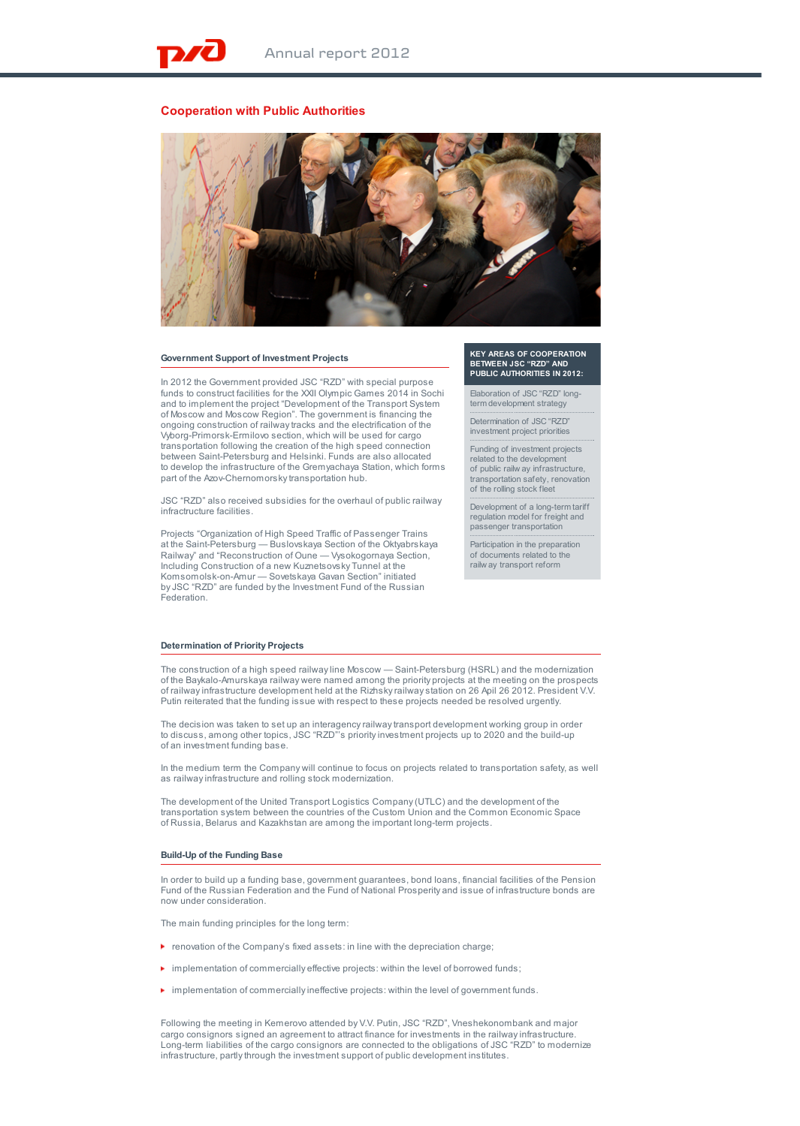# **Cooperation with Public Authorities**



## **Government Support of Investment Projects**

In 2012 the Government provided JSC "RZD" with special purpose funds to construct facilities for the XXII Olympic Games 2014 in Sochi and to implement the project "Development of the Transport System of Moscow and Moscow Region". The government is financing the ongoing construction of railway tracks and the electrification of the Vyborg-Primorsk-Ermilovo section, which will be used for cargo transportation following the creation of the high speed connection between Saint-Petersburg and Helsinki. Funds are also allocated to develop the infrastructure of the Gremyachaya Station, which forms part of the Azov-Chernomorsky transportation hub.

JSC "RZD" also received subsidies for the overhaul of public railway infractructure facilities.

Projects "Organization of High Speed Traffic of Passenger Trains at the Saint-Petersburg — Buslovskaya Section of the Oktyabrskaya Railway" and "Reconstruction of Oune — Vysokogornaya Section, Including Construction of a new Kuznetsovsky Tunnel at the Komsomolsk-on-Amur — Sovetskaya Gavan Section" initiated by JSC "RZD" are funded by the Investment Fund of the Russian Federation.

**KEY AREAS OF COOPERATION BETWEEN JSC "RZD" AND PUBLIC AUTHORITIES IN 2012:**

Elaboration of JSC "RZD" long-term development strategy

Determination of JSC "RZD" investment project priorities

Funding of investment projects related to the development of public railw ay infrastructure, transportation safety, renovation of the rolling stock fleet

Development of a long-term tariff regulation model for freight and passenger transportation

Participation in the preparation of documents related to the railw ay transport reform

### **Determination of Priority Projects**

The construction of a high speed railway line Moscow — Saint-Petersburg (HSRL) and the modernization of the Baykalo-Amurskaya railway were named among the priority projects at the meeting on the prospects of railway infrastructure development held at the Rizhsky railway station on 26 Apil 26 2012. President V.V. Putin reiterated that the funding issue with respect to these projects needed be resolved urgently.

The decision was taken to set up an interagency railway transport development working group in order to discuss, among other topics, JSC "RZD"'s priority investment projects up to 2020 and the build-up of an investment funding base.

In the medium term the Company will continue to focus on projects related to transportation safety, as well as railway infrastructure and rolling stock modernization.

The development of the United Transport Logistics Company (UTLC) and the development of the transportation system between the countries of the Custom Union and the Common Economic Space of Russia, Belarus and Kazakhstan are among the important long-term projects.

### **Build-Up of the Funding Base**

In order to build up a funding base, government guarantees, bond loans, financial facilities of the Pension Fund of the Russian Federation and the Fund of National Prosperity and issue of infrastructure bonds are now under consideration.

The main funding principles for the long term:

- $\blacktriangleright$  renovation of the Company's fixed assets: in line with the depreciation charge;
- $\blacktriangleright$  implementation of commercially effective projects: within the level of borrowed funds;
- implementation of commercially ineffective projects: within the level of government funds.

Following the meeting in Kemerovo attended by V.V. Putin, JSC "RZD", Vneshekonombank and major cargo consignors signed an agreement to attract finance for investments in the railway infrastructure. Long-term liabilities of the cargo consignors are connected to the obligations of JSC "RZD" to modernize infrastructure, partly through the investment support of public development institutes.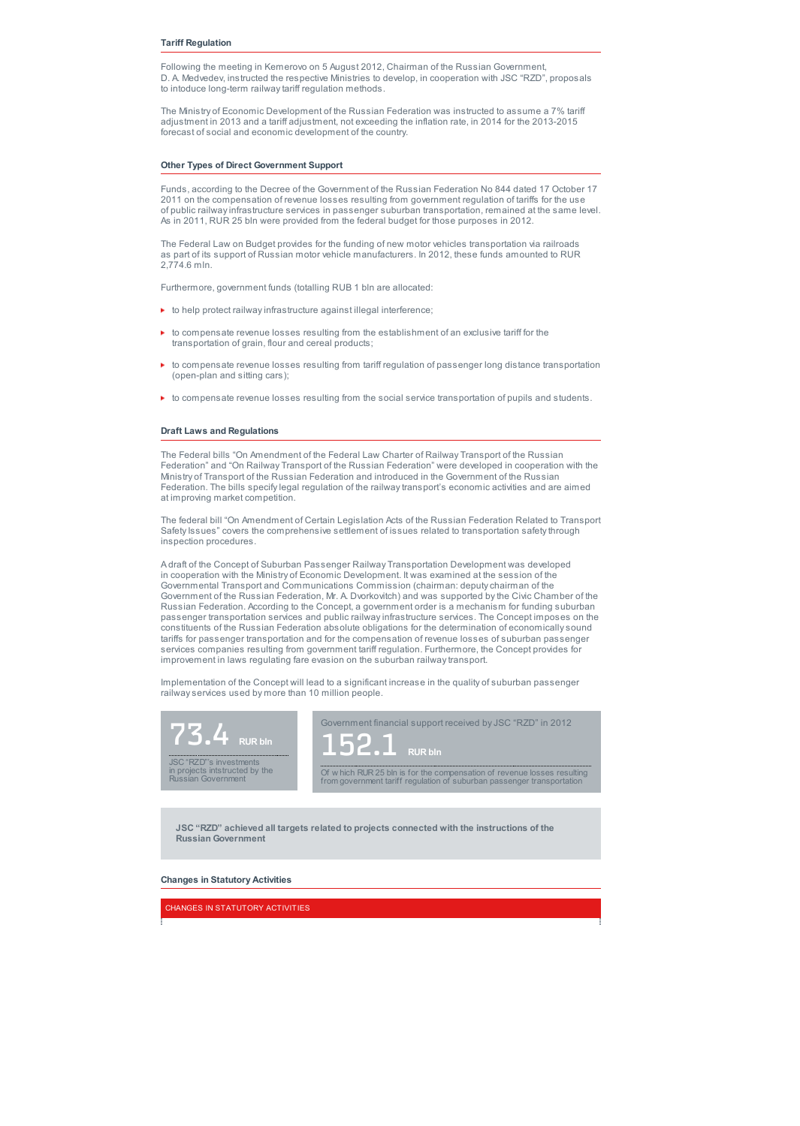## **Tariff Regulation**

Following the meeting in Kemerovo on 5 August 2012, Chairman of the Russian Government, D. A. Medvedev, instructed the respective Ministries to develop, in cooperation with JSC "RZD", proposals to intoduce long-term railway tariff regulation methods.

The Ministry of Economic Development of the Russian Federation was instructed to assume a 7% tariff adjustment in 2013 and a tariff adjustment, not exceeding the inflation rate, in 2014 for the 2013-2015 forecast of social and economic development of the country.

## **Other Types of Direct Government Support**

Funds, according to the Decree of the Government of the Russian Federation No 844 dated 17 October 17 2011 on the compensation of revenue losses resulting from government regulation of tariffs for the use of public railway infrastructure services in passenger suburban transportation, remained at the same level. As in 2011, RUR 25 bln were provided from the federal budget for those purposes in 2012.

The Federal Law on Budget provides for the funding of new motor vehicles transportation via railroads as part of its support of Russian motor vehicle manufacturers. In 2012, these funds amounted to RUR 2,774.6 mln.

Furthermore, government funds (totalling RUB 1 bln are allocated:

- $\blacktriangleright$  to help protect railway infrastructure against illegal interference;
- $\blacktriangleright$  to compensate revenue losses resulting from the establishment of an exclusive tariff for the transportation of grain, flour and cereal products;
- to compensate revenue losses resulting from tariff regulation of passenger long distance transportation (open-plan and sitting cars);
- to compensate revenue losses resulting from the social service transportation of pupils and students.

#### **Draft Laws and Regulations**

The Federal bills "On Amendment of the Federal Law Charter of Railway Transport of the Russian Federation" and "On Railway Transport of the Russian Federation" were developed in cooperation with the Ministry of Transport of the Russian Federation and introduced in the Government of the Russian Federation. The bills specify legal regulation of the railway transport's economic activities and are aimed at improving market competition.

The federal bill "On Amendment of Certain Legislation Acts of the Russian Federation Related to Transport Safety Issues" covers the comprehensive settlement of issues related to transportation safety through inspection procedures.

A draft of the Concept of Suburban Passenger Railway Transportation Development was developed in cooperation with the Ministry of Economic Development. It was examined at the session of the Governmental Transport and Communications Commission (chairman: deputy chairman of the Government of the Russian Federation, Mr. A. Dvorkovitch) and was supported by the Civic Chamber of the Russian Federation. According to the Concept, a government order is a mechanism for funding suburban passenger transportation services and public railway infrastructure services. The Concept imposes on the constituents of the Russian Federation absolute obligations for the determination of economically sound tariffs for passenger transportation and for the compensation of revenue losses of suburban passenger services companies resulting from government tariff regulation. Furthermore, the Concept provides for improvement in laws regulating fare evasion on the suburban railway transport.

Implementation of the Concept will lead to a significant increase in the quality of suburban passenger railway services used by more than 10 million people.



**JSC "RZD" achieved all targets related to projects connected with the instructions of the Russian Government**

#### **Changes in Statutory Activities**

CHANGES IN STATUTORY ACTIVITIES